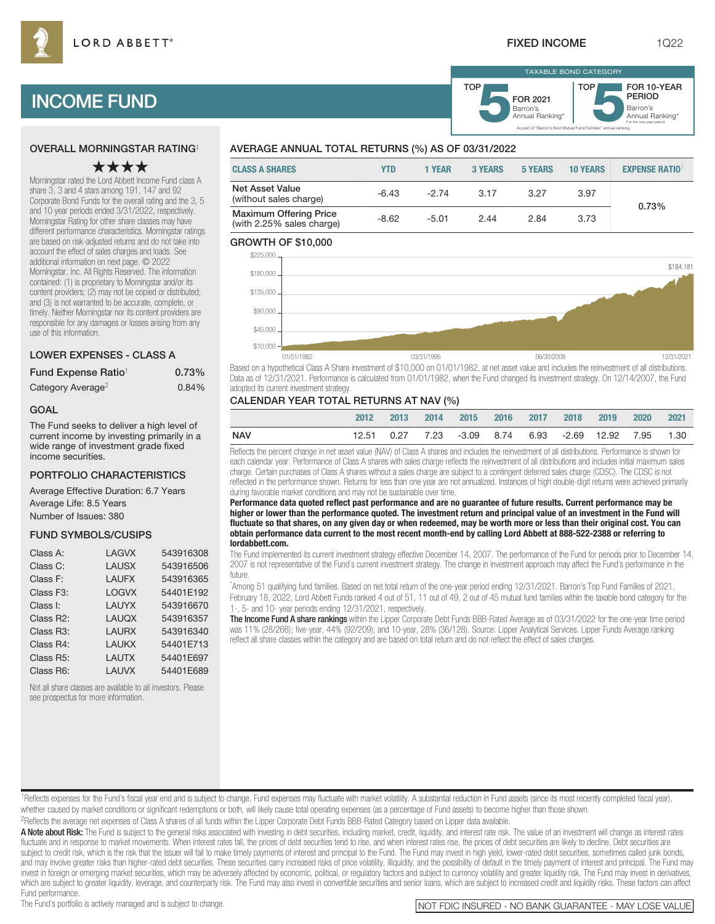As part of "Barron's Best Mutual Fund Families" annual ranking.

Barron's **5**Annual Ranking\* FOR 2021

TAXABLE BOND CATEGORY

TOP

Barron's<br>Annual Ranking\*

For the one-year period.

FOR 10-YEAR PERIOD

# INCOME FUND

## OVERALL MORNINGSTAR RATING‡

## ★★★★

Morningstar rated the Lord Abbett Income Fund class A share 3, 3 and 4 stars among 191, 147 and 92 Corporate Bond Funds for the overall rating and the 3, 5 and 10 year periods ended 3/31/2022, respectively. Morningstar Rating for other share classes may have different performance characteristics. Morningstar ratings are based on risk-adjusted returns and do not take into account the effect of sales charges and loads. See additional information on next page. © 2022 Morningstar, Inc. All Rights Reserved. The information contained: (1) is proprietary to Morningstar and/or its content providers; (2) may not be copied or distributed; and (3) is not warranted to be accurate, complete, or timely. Neither Morningstar nor its content providers are responsible for any damages or losses arising from any use of this information.

## LOWER EXPENSES - CLASS A

| Fund Expense Ratio <sup>1</sup> | 0.73% |
|---------------------------------|-------|
| Category Average <sup>2</sup>   | 0.84% |

## GOAL

The Fund seeks to deliver a high level of current income by investing primarily in a wide range of investment grade fixed income securities.

## PORTFOLIO CHARACTERISTICS

Average Effective Duration: 6.7 Years Average Life: 8.5 Years Number of Issues: 380

## FUND SYMBOLS/CUSIPS

| Class A:               | I AGVX       | 543916308 |
|------------------------|--------------|-----------|
| Class C:               | <b>LAUSX</b> | 543916506 |
| Class F:               | <b>LAUFX</b> | 543916365 |
| Class F <sub>3</sub> : | <b>LOGVX</b> | 54401F192 |
| Class I:               | LAUYX        | 543916670 |
| Class R2:              | <b>LAUQX</b> | 543916357 |
| Class R <sub>3</sub> : | <b>LAURX</b> | 543916340 |
| Class R4:              | LAUKX        | 54401E713 |
| Class R <sub>5</sub> : | <b>LAUTX</b> | 54401E697 |
| Class R6:              | I AUVX       | 54401E689 |
|                        |              |           |

Not all share classes are available to all investors. Please see prospectus for more information.

## AVERAGE ANNUAL TOTAL RETURNS (%) AS OF 03/31/2022

| <b>CLASS A SHARES</b>                                      | YTD     | <b>1 YEAR</b> | <b>3 YEARS</b> | 5 YEARS | <b>10 YEARS</b> | <b>EXPENSE RATIO</b> |
|------------------------------------------------------------|---------|---------------|----------------|---------|-----------------|----------------------|
| <b>Net Asset Value</b><br>(without sales charge)           | $-6.43$ | $-274$        | 3.17           | 3.27    | 3.97            | 0.73%                |
| <b>Maximum Offering Price</b><br>(with 2.25% sales charge) | $-8.62$ | $-5.01$       | 2.44           | 2.84    | 3.73            |                      |

TOP

## GROWTH OF \$10,000



Based on a hypothetical Class A Share investment of \$10,000 on 01/01/1982, at net asset value and includes the reinvestment of all distributions. Data as of 12/31/2021. Performance is calculated from 01/01/1982, when the Fund changed its investment strategy. On 12/14/2007, the Fund adopted its current investment strategy.

## CALENDAR YEAR TOTAL RETURNS AT NAV (%)

|            | 2012 | 2013 | 2014 | -2015                                                 | 2016 2017 | 2018 | 2019 | 2020 | 2021 |
|------------|------|------|------|-------------------------------------------------------|-----------|------|------|------|------|
| <b>NAV</b> |      |      |      | 12.51 0.27 7.23 -3.09 8.74 6.93 -2.69 12.92 7.95 1.30 |           |      |      |      |      |

Reflects the percent change in net asset value (NAV) of Class A shares and includes the reinvestment of all distributions. Performance is shown for each calendar year. Performance of Class A shares with sales charge reflects the reinvestment of all distributions and includes initial maximum sales charge. Certain purchases of Class A shares without a sales charge are subject to a contingent deferred sales charge (CDSC). The CDSC is not reflected in the performance shown. Returns for less than one year are not annualized. Instances of high double-digit returns were achieved primarily during favorable market conditions and may not be sustainable over time.

**Performance data quoted reflect past performance and are no guarantee of future results. Current performance may be higher or lower than the performance quoted. The investment return and principal value of an investment in the Fund will fluctuate so that shares, on any given day or when redeemed, may be worth more or less than their original cost. You can obtain performance data current to the most recent month-end by calling Lord Abbett at 888-522-2388 or referring to lordabbett.com.**

The Fund implemented its current investment strategy effective December 14, 2007. The performance of the Fund for periods prior to December 14, 2007 is not representative of the Fund's current investment strategy. The change in investment approach may affect the Fund's performance in the future.

\* Among 51 qualifying fund families. Based on net total return of the one-year period ending 12/31/2021. Barron's Top Fund Families of 2021, February 18, 2022, Lord Abbett Funds ranked 4 out of 51, 11 out of 49, 2 out of 45 mutual fund families within the taxable bond category for the 1-, 5- and 10- year periods ending 12/31/2021, respectively.

The Income Fund A share rankings within the Lipper Corporate Debt Funds BBB-Rated Average as of 03/31/2022 for the one-year time period was 11% (28/266); five-year, 44% (92/209); and 10-year, 28% (36/128). Source: Lipper Analytical Services. Lipper Funds Average ranking reflect all share classes within the category and are based on total return and do not reflect the effect of sales charges.

<sup>1</sup>Reflects expenses for the Fund's fiscal year end and is subject to change. Fund expenses may fluctuate with market volatility. A substantial reduction in Fund assets (since its most recently completed fiscal year), whether caused by market conditions or significant redemptions or both, will likely cause total operating expenses (as a percentage of Fund assets) to become higher than those shown. 2Reflects the average net expenses of Class A shares of all funds within the Lipper Corporate Debt Funds BBB-Rated Category based on Lipper data available.

A Note about Risk: The Fund is subject to the general risks associated with investing in debt securities, including market, credit, liquidity, and interest rate risk. The value of an investment will change as interest rate fluctuate and in response to market movements. When interest rates fall, the prices of debt securities tend to rise, and when interest rates rise, the prices of debt securities are likely to decline. Debt securities are subject to credit risk, which is the risk that the issuer will fail to make timely payments of interest and principal to the Fund. The Fund may invest in high yield, lower-rated debt securities, sometimes called junk bonds and may involve greater risks than higher-rated debt securities. These securities carry increased risks of price volatility, illiquidity, and the possibility of default in the timely payment of interest and principal. The invest in foreign or emerging market securities, which may be adversely affected by economic, political, or regulatory factors and subject to currency volatility and greater liquidity risk. The Fund may invest in derivativ which are subject to greater liquidity, leverage, and counterparty risk. The Fund may also invest in convertible securities and senior loans, which are subject to increased credit and liquidity risks. These factors can aff Fund performance.